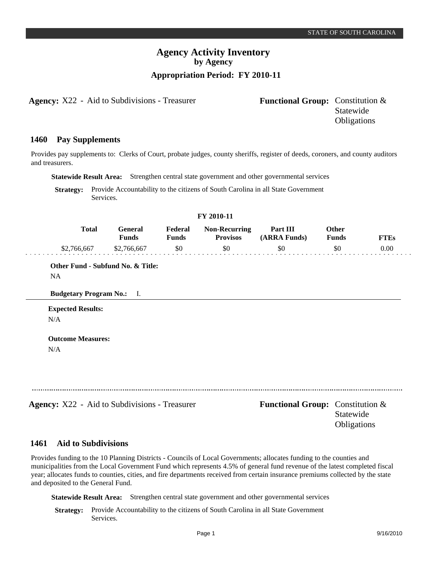## **Agency Activity Inventory by Agency Appropriation Period: FY 2010-11**

**Agency:** X22 - Aid to Subdivisions - Treasurer

| <b>Functional Group:</b> Constitution & |                    |
|-----------------------------------------|--------------------|
|                                         | Statewide          |
|                                         | <b>Obligations</b> |

#### **Pay Supplements 1460**

Provides pay supplements to: Clerks of Court, probate judges, county sheriffs, register of deeds, coroners, and county auditors and treasurers.

**Statewide Result Area:** Strengthen central state government and other governmental services

**Strategy:** Provide Accountability to the citizens of South Carolina in all State Government Services.

| FY 2010-11                       |                                |                  |                                         |                          |                              |             |
|----------------------------------|--------------------------------|------------------|-----------------------------------------|--------------------------|------------------------------|-------------|
| <b>Total</b>                     | <b>General</b><br><b>Funds</b> | Federal<br>Funds | <b>Non-Recurring</b><br><b>Provisos</b> | Part III<br>(ARRA Funds) | <b>Other</b><br><b>Funds</b> | <b>FTEs</b> |
| \$2,766,667                      | \$2,766,667                    | \$0              | \$0                                     | \$0                      | \$0                          | 0.00        |
| <b>NA</b>                        |                                |                  |                                         |                          |                              |             |
| <b>Budgetary Program No.:</b> I. |                                |                  |                                         |                          |                              |             |
| <b>Expected Results:</b>         |                                |                  |                                         |                          |                              |             |

N/A

**Agency:** X22 - Aid to Subdivisions - Treasurer **Functional Group:** Constitution & Statewide **Obligations** 

### **Aid to Subdivisions 1461**

Provides funding to the 10 Planning Districts - Councils of Local Governments; allocates funding to the counties and municipalities from the Local Government Fund which represents 4.5% of general fund revenue of the latest completed fiscal year; allocates funds to counties, cities, and fire departments received from certain insurance premiums collected by the state and deposited to the General Fund.

**Statewide Result Area:** Strengthen central state government and other governmental services

**Strategy:** Provide Accountability to the citizens of South Carolina in all State Government Services.